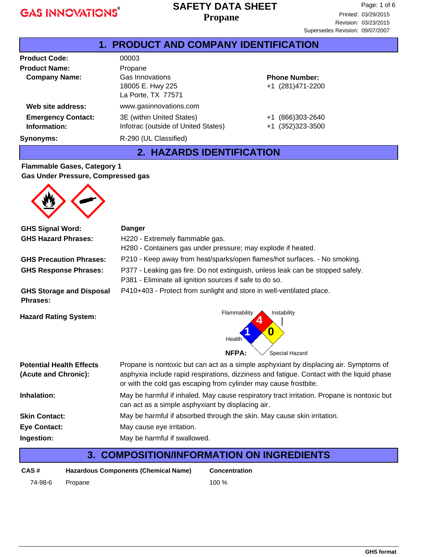#### **Propane SAFETY DATA SHEET**

| <b>1. PRODUCT AND COMPANY IDENTIFICATION</b> |                                                                  |                                           |  |
|----------------------------------------------|------------------------------------------------------------------|-------------------------------------------|--|
| <b>Product Code:</b>                         | 00003                                                            |                                           |  |
| <b>Product Name:</b>                         | Propane                                                          |                                           |  |
| <b>Company Name:</b>                         | Gas Innovations<br>18005 E. Hwy 225<br>La Porte, TX 77571        | <b>Phone Number:</b><br>+1 (281)471-2200  |  |
| Web site address:                            | www.gasinnovations.com                                           |                                           |  |
| <b>Emergency Contact:</b><br>Information:    | 3E (within United States)<br>Infotrac (outside of United States) | (866)303-2640<br>$+1$<br>+1 (352)323-3500 |  |
| Synonyms:                                    | R-290 (UL Classified)                                            |                                           |  |

#### **2. HAZARDS IDENTIFICATION**

#### **Flammable Gases, Category 1 Gas Under Pressure, Compressed gas**

| <b>GHS Signal Word:</b>                                 | <b>Danger</b>                                                                                                                                                                                                                                          |  |  |
|---------------------------------------------------------|--------------------------------------------------------------------------------------------------------------------------------------------------------------------------------------------------------------------------------------------------------|--|--|
| <b>GHS Hazard Phrases:</b>                              | H220 - Extremely flammable gas.                                                                                                                                                                                                                        |  |  |
|                                                         | H280 - Containers gas under pressure; may explode if heated.                                                                                                                                                                                           |  |  |
| <b>GHS Precaution Phrases:</b>                          | P210 - Keep away from heat/sparks/open flames/hot surfaces. - No smoking.                                                                                                                                                                              |  |  |
| <b>GHS Response Phrases:</b>                            | P377 - Leaking gas fire: Do not extinguish, unless leak can be stopped safely.<br>P381 - Eliminate all ignition sources if safe to do so.                                                                                                              |  |  |
| <b>GHS Storage and Disposal</b><br><b>Phrases:</b>      | P410+403 - Protect from sunlight and store in well-ventilated place.                                                                                                                                                                                   |  |  |
| <b>Hazard Rating System:</b>                            | Flammability<br>Instability<br>O<br>Health<br><b>NFPA:</b><br>Special Hazard                                                                                                                                                                           |  |  |
| <b>Potential Health Effects</b><br>(Acute and Chronic): | Propane is nontoxic but can act as a simple asphyxiant by displacing air. Symptoms of<br>asphyxia include rapid respirations, dizziness and fatigue. Contact with the liquid phase<br>or with the cold gas escaping from cylinder may cause frostbite. |  |  |
| Inhalation:                                             | May be harmful if inhaled. May cause respiratory tract irritation. Propane is nontoxic but<br>can act as a simple asphyxiant by displacing air.                                                                                                        |  |  |
| <b>Skin Contact:</b>                                    | May be harmful if absorbed through the skin. May cause skin irritation.                                                                                                                                                                                |  |  |
| <b>Eye Contact:</b>                                     | May cause eye irritation.                                                                                                                                                                                                                              |  |  |
| Ingestion:                                              | May be harmful if swallowed.                                                                                                                                                                                                                           |  |  |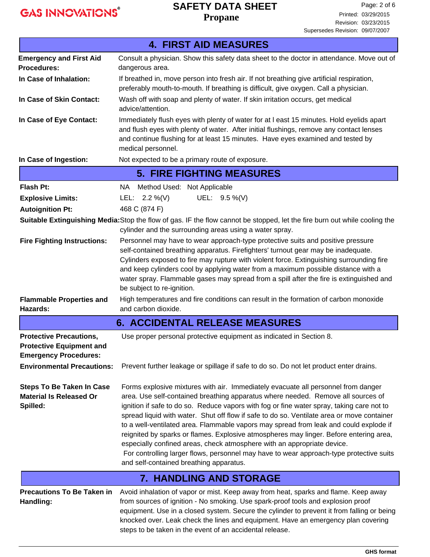## **SAFETY DATA SHEET**

**Propane**

|                                                                                                   | <b>4. FIRST AID MEASURES</b>                                                                                                                                                                                                                                                                                                                                                                                                                                                                                                                                                                                                                                                                                                                                         |  |  |  |  |
|---------------------------------------------------------------------------------------------------|----------------------------------------------------------------------------------------------------------------------------------------------------------------------------------------------------------------------------------------------------------------------------------------------------------------------------------------------------------------------------------------------------------------------------------------------------------------------------------------------------------------------------------------------------------------------------------------------------------------------------------------------------------------------------------------------------------------------------------------------------------------------|--|--|--|--|
| <b>Emergency and First Aid</b>                                                                    | Consult a physician. Show this safety data sheet to the doctor in attendance. Move out of                                                                                                                                                                                                                                                                                                                                                                                                                                                                                                                                                                                                                                                                            |  |  |  |  |
| <b>Procedures:</b>                                                                                | dangerous area.                                                                                                                                                                                                                                                                                                                                                                                                                                                                                                                                                                                                                                                                                                                                                      |  |  |  |  |
| In Case of Inhalation:                                                                            | If breathed in, move person into fresh air. If not breathing give artificial respiration,<br>preferably mouth-to-mouth. If breathing is difficult, give oxygen. Call a physician.                                                                                                                                                                                                                                                                                                                                                                                                                                                                                                                                                                                    |  |  |  |  |
| In Case of Skin Contact:                                                                          | Wash off with soap and plenty of water. If skin irritation occurs, get medical<br>advice/attention.                                                                                                                                                                                                                                                                                                                                                                                                                                                                                                                                                                                                                                                                  |  |  |  |  |
| In Case of Eye Contact:                                                                           | Immediately flush eyes with plenty of water for at I east 15 minutes. Hold eyelids apart<br>and flush eyes with plenty of water. After initial flushings, remove any contact lenses<br>and continue flushing for at least 15 minutes. Have eyes examined and tested by<br>medical personnel.                                                                                                                                                                                                                                                                                                                                                                                                                                                                         |  |  |  |  |
| In Case of Ingestion:                                                                             | Not expected to be a primary route of exposure.                                                                                                                                                                                                                                                                                                                                                                                                                                                                                                                                                                                                                                                                                                                      |  |  |  |  |
|                                                                                                   | <b>5. FIRE FIGHTING MEASURES</b>                                                                                                                                                                                                                                                                                                                                                                                                                                                                                                                                                                                                                                                                                                                                     |  |  |  |  |
| <b>Flash Pt:</b>                                                                                  | NA Method Used: Not Applicable                                                                                                                                                                                                                                                                                                                                                                                                                                                                                                                                                                                                                                                                                                                                       |  |  |  |  |
| <b>Explosive Limits:</b>                                                                          | UEL: 9.5 %(V)<br>LEL: $2.2\%$ (V)                                                                                                                                                                                                                                                                                                                                                                                                                                                                                                                                                                                                                                                                                                                                    |  |  |  |  |
| <b>Autoignition Pt:</b>                                                                           | 468 C (874 F)                                                                                                                                                                                                                                                                                                                                                                                                                                                                                                                                                                                                                                                                                                                                                        |  |  |  |  |
|                                                                                                   | Suitable Extinguishing Media: Stop the flow of gas. IF the flow cannot be stopped, let the fire burn out while cooling the<br>cylinder and the surrounding areas using a water spray.                                                                                                                                                                                                                                                                                                                                                                                                                                                                                                                                                                                |  |  |  |  |
| <b>Fire Fighting Instructions:</b>                                                                | Personnel may have to wear approach-type protective suits and positive pressure<br>self-contained breathing apparatus. Firefighters' turnout gear may be inadequate.<br>Cylinders exposed to fire may rupture with violent force. Extinguishing surrounding fire<br>and keep cylinders cool by applying water from a maximum possible distance with a<br>water spray. Flammable gases may spread from a spill after the fire is extinguished and<br>be subject to re-ignition.                                                                                                                                                                                                                                                                                       |  |  |  |  |
| <b>Flammable Properties and</b><br>Hazards:                                                       | High temperatures and fire conditions can result in the formation of carbon monoxide<br>and carbon dioxide.                                                                                                                                                                                                                                                                                                                                                                                                                                                                                                                                                                                                                                                          |  |  |  |  |
|                                                                                                   | <b>6. ACCIDENTAL RELEASE MEASURES</b>                                                                                                                                                                                                                                                                                                                                                                                                                                                                                                                                                                                                                                                                                                                                |  |  |  |  |
| <b>Protective Precautions,</b><br><b>Protective Equipment and</b><br><b>Emergency Procedures:</b> | Use proper personal protective equipment as indicated in Section 8.                                                                                                                                                                                                                                                                                                                                                                                                                                                                                                                                                                                                                                                                                                  |  |  |  |  |
| <b>Environmental Precautions:</b>                                                                 | Prevent further leakage or spillage if safe to do so. Do not let product enter drains.                                                                                                                                                                                                                                                                                                                                                                                                                                                                                                                                                                                                                                                                               |  |  |  |  |
| <b>Steps To Be Taken In Case</b><br><b>Material Is Released Or</b><br>Spilled:                    | Forms explosive mixtures with air. Immediately evacuate all personnel from danger<br>area. Use self-contained breathing apparatus where needed. Remove all sources of<br>ignition if safe to do so. Reduce vapors with fog or fine water spray, taking care not to<br>spread liquid with water. Shut off flow if safe to do so. Ventilate area or move container<br>to a well-ventilated area. Flammable vapors may spread from leak and could explode if<br>reignited by sparks or flames. Explosive atmospheres may linger. Before entering area,<br>especially confined areas, check atmosphere with an appropriate device.<br>For controlling larger flows, personnel may have to wear approach-type protective suits<br>and self-contained breathing apparatus. |  |  |  |  |
|                                                                                                   | <b>7. HANDLING AND STORAGE</b>                                                                                                                                                                                                                                                                                                                                                                                                                                                                                                                                                                                                                                                                                                                                       |  |  |  |  |
| <b>Precautions To Be Taken in</b><br>Handling:                                                    | Avoid inhalation of vapor or mist. Keep away from heat, sparks and flame. Keep away<br>from sources of ignition - No smoking. Use spark-proof tools and explosion proof<br>equipment. Use in a closed system. Secure the cylinder to prevent it from falling or being<br>knocked over. Leak check the lines and equipment. Have an emergency plan covering<br>steps to be taken in the event of an accidental release.                                                                                                                                                                                                                                                                                                                                               |  |  |  |  |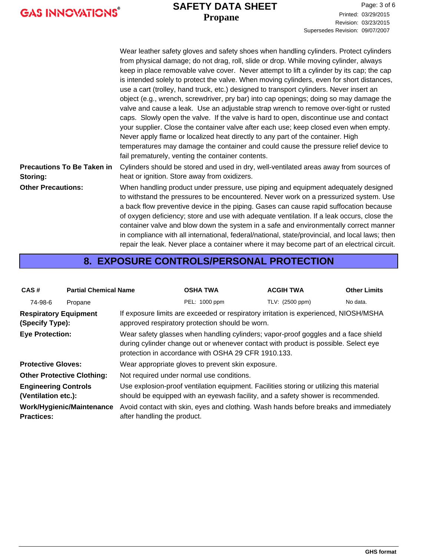#### **Propane SAFETY DATA SHEET**

|                                               | Wear leather safety gloves and safety shoes when handling cylinders. Protect cylinders<br>from physical damage; do not drag, roll, slide or drop. While moving cylinder, always<br>keep in place removable valve cover. Never attempt to lift a cylinder by its cap; the cap<br>is intended solely to protect the valve. When moving cylinders, even for short distances,<br>use a cart (trolley, hand truck, etc.) designed to transport cylinders. Never insert an<br>object (e.g., wrench, screwdriver, pry bar) into cap openings; doing so may damage the<br>valve and cause a leak. Use an adjustable strap wrench to remove over-tight or rusted<br>caps. Slowly open the valve. If the valve is hard to open, discontinue use and contact<br>your supplier. Close the container valve after each use; keep closed even when empty.<br>Never apply flame or localized heat directly to any part of the container. High<br>temperatures may damage the container and could cause the pressure relief device to<br>fail prematurely, venting the container contents. |
|-----------------------------------------------|---------------------------------------------------------------------------------------------------------------------------------------------------------------------------------------------------------------------------------------------------------------------------------------------------------------------------------------------------------------------------------------------------------------------------------------------------------------------------------------------------------------------------------------------------------------------------------------------------------------------------------------------------------------------------------------------------------------------------------------------------------------------------------------------------------------------------------------------------------------------------------------------------------------------------------------------------------------------------------------------------------------------------------------------------------------------------|
| <b>Precautions To Be Taken in</b><br>Storing: | Cylinders should be stored and used in dry, well-ventilated areas away from sources of<br>heat or ignition. Store away from oxidizers.                                                                                                                                                                                                                                                                                                                                                                                                                                                                                                                                                                                                                                                                                                                                                                                                                                                                                                                                    |
| <b>Other Precautions:</b>                     | When handling product under pressure, use piping and equipment adequately designed<br>to withstand the pressures to be encountered. Never work on a pressurized system. Use<br>a back flow preventive device in the piping. Gases can cause rapid suffocation because<br>of oxygen deficiency; store and use with adequate ventilation. If a leak occurs, close the<br>container valve and blow down the system in a safe and environmentally correct manner<br>in compliance with all international, federal/national, state/provincial, and local laws; then                                                                                                                                                                                                                                                                                                                                                                                                                                                                                                            |

#### **8. EXPOSURE CONTROLS/PERSONAL PROTECTION**

repair the leak. Never place a container where it may become part of an electrical circuit.

| CAS#                                                                                                                                                                                                                                                       | <b>Partial Chemical Name</b> |                                                                                                                                                                              | <b>OSHA TWA</b> | <b>ACGIH TWA</b> | <b>Other Limits</b> |  |
|------------------------------------------------------------------------------------------------------------------------------------------------------------------------------------------------------------------------------------------------------------|------------------------------|------------------------------------------------------------------------------------------------------------------------------------------------------------------------------|-----------------|------------------|---------------------|--|
| 74-98-6                                                                                                                                                                                                                                                    | Propane                      |                                                                                                                                                                              | PEL: 1000 ppm   | TLV: (2500 ppm)  | No data.            |  |
| <b>Respiratory Equipment</b><br>(Specify Type):                                                                                                                                                                                                            |                              | If exposure limits are exceeded or respiratory irritation is experienced, NIOSH/MSHA<br>approved respiratory protection should be worn.                                      |                 |                  |                     |  |
| Wear safety glasses when handling cylinders; vapor-proof goggles and a face shield<br><b>Eye Protection:</b><br>during cylinder change out or whenever contact with product is possible. Select eye<br>protection in accordance with OSHA 29 CFR 1910.133. |                              |                                                                                                                                                                              |                 |                  |                     |  |
| <b>Protective Gloves:</b>                                                                                                                                                                                                                                  |                              | Wear appropriate gloves to prevent skin exposure.                                                                                                                            |                 |                  |                     |  |
| <b>Other Protective Clothing:</b>                                                                                                                                                                                                                          |                              | Not required under normal use conditions.                                                                                                                                    |                 |                  |                     |  |
| <b>Engineering Controls</b><br>(Ventilation etc.):                                                                                                                                                                                                         |                              | Use explosion-proof ventilation equipment. Facilities storing or utilizing this material<br>should be equipped with an eyewash facility, and a safety shower is recommended. |                 |                  |                     |  |
| Work/Hygienic/Maintenance<br><b>Practices:</b>                                                                                                                                                                                                             |                              | Avoid contact with skin, eyes and clothing. Wash hands before breaks and immediately<br>after handling the product.                                                          |                 |                  |                     |  |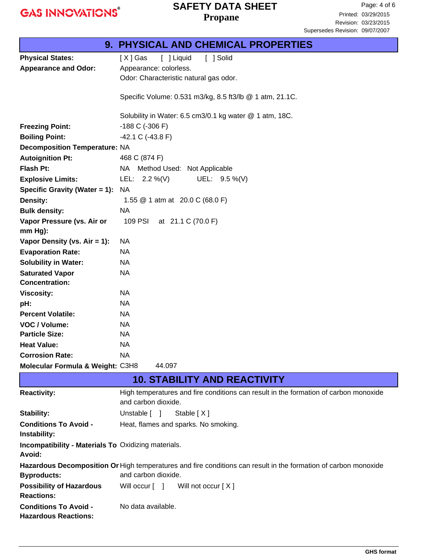#### **Propane SAFETY DATA SHEET**

|                                                                      | <b>9. PHYSICAL AND CHEMICAL PROPERTIES</b>                                                                      |  |  |
|----------------------------------------------------------------------|-----------------------------------------------------------------------------------------------------------------|--|--|
| <b>Physical States:</b>                                              | [ ] Solid<br>[X] Gas<br>[ ] Liquid                                                                              |  |  |
| <b>Appearance and Odor:</b>                                          | Appearance: colorless.                                                                                          |  |  |
|                                                                      | Odor: Characteristic natural gas odor.                                                                          |  |  |
|                                                                      |                                                                                                                 |  |  |
|                                                                      | Specific Volume: 0.531 m3/kg, 8.5 ft3/lb @ 1 atm, 21.1C.                                                        |  |  |
|                                                                      | Solubility in Water: 6.5 cm3/0.1 kg water @ 1 atm, 18C.                                                         |  |  |
| <b>Freezing Point:</b>                                               | $-188$ C ( $-306$ F)                                                                                            |  |  |
| <b>Boiling Point:</b>                                                | $-42.1 C (-43.8 F)$                                                                                             |  |  |
| <b>Decomposition Temperature: NA</b>                                 |                                                                                                                 |  |  |
| <b>Autoignition Pt:</b>                                              | 468 C (874 F)                                                                                                   |  |  |
| <b>Flash Pt:</b>                                                     | NA Method Used: Not Applicable                                                                                  |  |  |
| <b>Explosive Limits:</b>                                             | UEL: 9.5 %(V)<br>LEL: $2.2\%$ (V)                                                                               |  |  |
| Specific Gravity (Water = 1):                                        | <b>NA</b>                                                                                                       |  |  |
| <b>Density:</b>                                                      | 1.55 @ 1 atm at 20.0 C (68.0 F)                                                                                 |  |  |
| <b>Bulk density:</b>                                                 | <b>NA</b>                                                                                                       |  |  |
| Vapor Pressure (vs. Air or                                           | 109 PSI<br>at 21.1 C (70.0 F)                                                                                   |  |  |
| $mm Hg$ ):                                                           |                                                                                                                 |  |  |
| Vapor Density (vs. Air = 1):                                         | NA                                                                                                              |  |  |
| <b>Evaporation Rate:</b>                                             | <b>NA</b>                                                                                                       |  |  |
| <b>Solubility in Water:</b>                                          | NA                                                                                                              |  |  |
| <b>Saturated Vapor</b>                                               | <b>NA</b>                                                                                                       |  |  |
| <b>Concentration:</b>                                                |                                                                                                                 |  |  |
| <b>Viscosity:</b>                                                    | <b>NA</b>                                                                                                       |  |  |
| pH:                                                                  | <b>NA</b>                                                                                                       |  |  |
| <b>Percent Volatile:</b>                                             | <b>NA</b>                                                                                                       |  |  |
| VOC / Volume:                                                        | <b>NA</b>                                                                                                       |  |  |
| <b>Particle Size:</b>                                                | NA                                                                                                              |  |  |
| <b>Heat Value:</b>                                                   | <b>NA</b>                                                                                                       |  |  |
| <b>Corrosion Rate:</b>                                               | <b>NA</b>                                                                                                       |  |  |
| Molecular Formula & Weight: C3H8                                     | 44.097                                                                                                          |  |  |
|                                                                      | <b>10. STABILITY AND REACTIVITY</b>                                                                             |  |  |
| <b>Reactivity:</b>                                                   | High temperatures and fire conditions can result in the formation of carbon monoxide<br>and carbon dioxide.     |  |  |
| <b>Stability:</b>                                                    | Unstable [ ]<br>Stable $[X]$                                                                                    |  |  |
| <b>Conditions To Avoid -</b>                                         | Heat, flames and sparks. No smoking.                                                                            |  |  |
| Instability:                                                         |                                                                                                                 |  |  |
| <b>Incompatibility - Materials To Oxidizing materials.</b><br>Avoid: |                                                                                                                 |  |  |
|                                                                      | Hazardous Decomposition Or High temperatures and fire conditions can result in the formation of carbon monoxide |  |  |
| <b>Byproducts:</b>                                                   | and carbon dioxide.                                                                                             |  |  |
| <b>Possibility of Hazardous</b>                                      | Will occur $\lceil \quad \rceil$<br>Will not occur [X]                                                          |  |  |
| <b>Reactions:</b>                                                    |                                                                                                                 |  |  |
| <b>Conditions To Avoid -</b>                                         | No data available.                                                                                              |  |  |
| <b>Hazardous Reactions:</b>                                          |                                                                                                                 |  |  |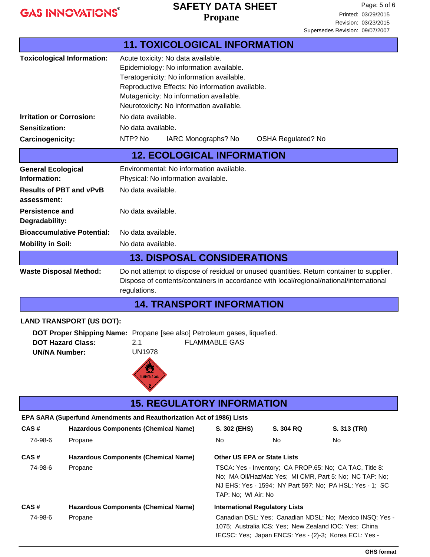#### **Propane SAFETY DATA SHEET**

|                                           |                                                                                                                            | <b>11. TOXICOLOGICAL INFORMATION</b>                                     |                                                                               |                                                       |                                                          |  |
|-------------------------------------------|----------------------------------------------------------------------------------------------------------------------------|--------------------------------------------------------------------------|-------------------------------------------------------------------------------|-------------------------------------------------------|----------------------------------------------------------|--|
|                                           | <b>Toxicological Information:</b>                                                                                          |                                                                          |                                                                               |                                                       |                                                          |  |
|                                           |                                                                                                                            |                                                                          | Acute toxicity: No data available.<br>Epidemiology: No information available. |                                                       |                                                          |  |
| Teratogenicity: No information available. |                                                                                                                            |                                                                          |                                                                               |                                                       |                                                          |  |
|                                           | Reproductive Effects: No information available.                                                                            |                                                                          |                                                                               |                                                       |                                                          |  |
|                                           |                                                                                                                            | Mutagenicity: No information available.                                  |                                                                               |                                                       |                                                          |  |
|                                           |                                                                                                                            | Neurotoxicity: No information available.                                 |                                                                               |                                                       |                                                          |  |
| <b>Irritation or Corrosion:</b>           |                                                                                                                            | No data available.                                                       |                                                                               |                                                       |                                                          |  |
| Sensitization:                            |                                                                                                                            | No data available.                                                       |                                                                               |                                                       |                                                          |  |
| Carcinogenicity:                          |                                                                                                                            | NTP? No<br>IARC Monographs? No                                           |                                                                               | <b>OSHA Regulated? No</b>                             |                                                          |  |
|                                           |                                                                                                                            | <b>12. ECOLOGICAL INFORMATION</b>                                        |                                                                               |                                                       |                                                          |  |
| <b>General Ecological</b>                 |                                                                                                                            | Environmental: No information available.                                 |                                                                               |                                                       |                                                          |  |
| Information:                              |                                                                                                                            | Physical: No information available.                                      |                                                                               |                                                       |                                                          |  |
| assessment:                               | <b>Results of PBT and vPvB</b>                                                                                             | No data available.                                                       |                                                                               |                                                       |                                                          |  |
| <b>Persistence and</b>                    |                                                                                                                            | No data available.                                                       |                                                                               |                                                       |                                                          |  |
| Degradability:                            |                                                                                                                            |                                                                          |                                                                               |                                                       |                                                          |  |
|                                           | <b>Bioaccumulative Potential:</b>                                                                                          | No data available.                                                       |                                                                               |                                                       |                                                          |  |
| <b>Mobility in Soil:</b>                  |                                                                                                                            | No data available.                                                       |                                                                               |                                                       |                                                          |  |
|                                           |                                                                                                                            | <b>13. DISPOSAL CONSIDERATIONS</b>                                       |                                                                               |                                                       |                                                          |  |
|                                           | Do not attempt to dispose of residual or unused quantities. Return container to supplier.<br><b>Waste Disposal Method:</b> |                                                                          |                                                                               |                                                       |                                                          |  |
|                                           | Dispose of contents/containers in accordance with local/regional/national/international                                    |                                                                          |                                                                               |                                                       |                                                          |  |
|                                           |                                                                                                                            | regulations.                                                             |                                                                               |                                                       |                                                          |  |
|                                           |                                                                                                                            | <b>14. TRANSPORT INFORMATION</b>                                         |                                                                               |                                                       |                                                          |  |
|                                           | <b>LAND TRANSPORT (US DOT):</b>                                                                                            |                                                                          |                                                                               |                                                       |                                                          |  |
|                                           |                                                                                                                            | DOT Proper Shipping Name: Propane [see also] Petroleum gases, liquefied. |                                                                               |                                                       |                                                          |  |
|                                           | <b>DOT Hazard Class:</b>                                                                                                   | 2.1                                                                      | <b>FLAMMABLE GAS</b>                                                          |                                                       |                                                          |  |
| <b>UN/NA Number:</b>                      |                                                                                                                            | <b>UN1978</b>                                                            |                                                                               |                                                       |                                                          |  |
|                                           |                                                                                                                            |                                                                          |                                                                               |                                                       |                                                          |  |
|                                           |                                                                                                                            | <b>FLAMMABLE GAS</b>                                                     |                                                                               |                                                       |                                                          |  |
|                                           |                                                                                                                            |                                                                          |                                                                               |                                                       |                                                          |  |
|                                           |                                                                                                                            | <b>15. REGULATORY INFORMATION</b>                                        |                                                                               |                                                       |                                                          |  |
|                                           |                                                                                                                            | EPA SARA (Superfund Amendments and Reauthorization Act of 1986) Lists    |                                                                               |                                                       |                                                          |  |
| CAS#                                      |                                                                                                                            | <b>Hazardous Components (Chemical Name)</b>                              | S. 302 (EHS)                                                                  | S. 304 RQ                                             | S. 313 (TRI)                                             |  |
| 74-98-6                                   | Propane                                                                                                                    |                                                                          | No                                                                            | No                                                    | No                                                       |  |
| CAS#                                      |                                                                                                                            | <b>Hazardous Components (Chemical Name)</b>                              |                                                                               | <b>Other US EPA or State Lists</b>                    |                                                          |  |
| 74-98-6<br>Propane                        |                                                                                                                            |                                                                          | TSCA: Yes - Inventory; CA PROP.65: No; CA TAC, Title 8:                       |                                                       |                                                          |  |
|                                           |                                                                                                                            |                                                                          | No; MA Oil/HazMat: Yes; MI CMR, Part 5: No; NC TAP: No;                       |                                                       |                                                          |  |
|                                           |                                                                                                                            |                                                                          | TAP: No; WI Air: No                                                           |                                                       | NJ EHS: Yes - 1594; NY Part 597: No; PA HSL: Yes - 1; SC |  |
| CAS#                                      |                                                                                                                            | <b>Hazardous Components (Chemical Name)</b>                              |                                                                               | <b>International Regulatory Lists</b>                 |                                                          |  |
| 74-98-6<br>Propane                        |                                                                                                                            |                                                                          |                                                                               |                                                       | Canadian DSL: Yes; Canadian NDSL: No; Mexico INSQ: Yes - |  |
|                                           |                                                                                                                            |                                                                          | 1075; Australia ICS: Yes; New Zealand IOC: Yes; China                         |                                                       |                                                          |  |
|                                           |                                                                                                                            |                                                                          |                                                                               | IECSC: Yes; Japan ENCS: Yes - (2)-3; Korea ECL: Yes - |                                                          |  |